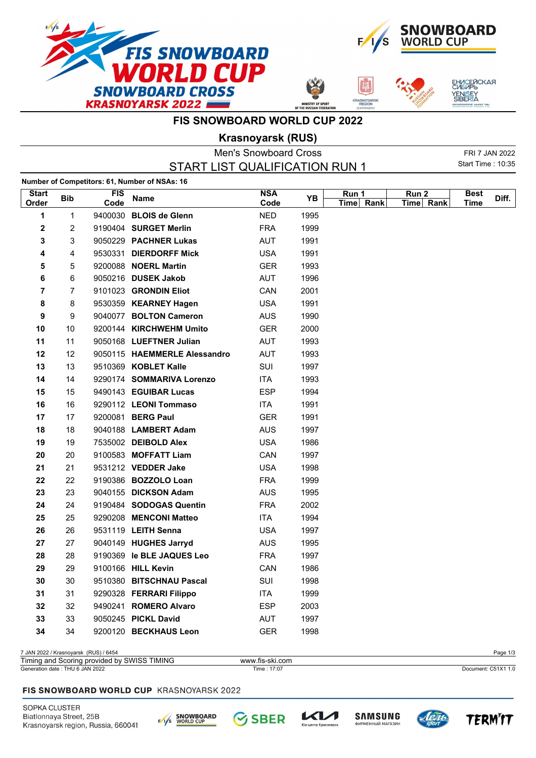







## **FIS SNOWBOARD WORLD CUP 2022**

**Krasnoyarsk (RUS)**

| <b>Men's Snowboard Cross</b>   |            |                    |                                               |                    |      | FRI 7 JAN 2022     |                               |                     |       |
|--------------------------------|------------|--------------------|-----------------------------------------------|--------------------|------|--------------------|-------------------------------|---------------------|-------|
| START LIST QUALIFICATION RUN 1 |            |                    |                                               |                    |      |                    |                               | Start Time: 10:35   |       |
|                                |            |                    | Number of Competitors: 61, Number of NSAs: 16 |                    |      |                    |                               |                     |       |
| <b>Start</b><br>Order          | <b>Bib</b> | <b>FIS</b><br>Code | <b>Name</b>                                   | <b>NSA</b><br>Code | ΥB   | Run 1<br>Time Rank | Run <sub>2</sub><br>Time Rank | <b>Best</b><br>Time | Diff. |
| 1                              | 1          |                    | 9400030 BLOIS de Glenn                        | <b>NED</b>         | 1995 |                    |                               |                     |       |
| 2                              | 2          |                    | 9190404 SURGET Merlin                         | <b>FRA</b>         | 1999 |                    |                               |                     |       |
| 3                              | 3          |                    | 9050229 PACHNER Lukas                         | AUT                | 1991 |                    |                               |                     |       |
| 4                              | 4          |                    | 9530331 DIERDORFF Mick                        | <b>USA</b>         | 1991 |                    |                               |                     |       |
| 5                              | 5          |                    | 9200088 NOERL Martin                          | <b>GER</b>         | 1993 |                    |                               |                     |       |
| 6                              | 6          |                    | 9050216 DUSEK Jakob                           | AUT                | 1996 |                    |                               |                     |       |
| 7                              | 7          |                    | 9101023 GRONDIN Eliot                         | CAN                | 2001 |                    |                               |                     |       |
| 8                              | 8          |                    | 9530359 KEARNEY Hagen                         | <b>USA</b>         | 1991 |                    |                               |                     |       |
| 9                              | 9          |                    | 9040077 BOLTON Cameron                        | <b>AUS</b>         | 1990 |                    |                               |                     |       |
| 10                             | 10         |                    | 9200144 KIRCHWEHM Umito                       | GER                | 2000 |                    |                               |                     |       |
| 11                             | 11         |                    | 9050168 LUEFTNER Julian                       | <b>AUT</b>         | 1993 |                    |                               |                     |       |
| 12                             | 12         |                    | 9050115 HAEMMERLE Alessandro                  | AUT                | 1993 |                    |                               |                     |       |
| 13                             | 13         |                    | 9510369 KOBLET Kalle                          | SUI                | 1997 |                    |                               |                     |       |
| 14                             | 14         |                    | 9290174 SOMMARIVA Lorenzo                     | <b>ITA</b>         | 1993 |                    |                               |                     |       |
| 15                             | 15         |                    | 9490143 EGUIBAR Lucas                         | <b>ESP</b>         | 1994 |                    |                               |                     |       |
| 16                             | 16         |                    | 9290112 LEONI Tommaso                         | ITA                | 1991 |                    |                               |                     |       |
| 17                             | 17         |                    | 9200081 BERG Paul                             | <b>GER</b>         | 1991 |                    |                               |                     |       |
| 18                             | 18         |                    | 9040188 LAMBERT Adam                          | <b>AUS</b>         | 1997 |                    |                               |                     |       |
| 19                             | 19         |                    | 7535002 DEIBOLD Alex                          | <b>USA</b>         | 1986 |                    |                               |                     |       |
| 20                             | 20         |                    | 9100583 MOFFATT Liam                          | CAN                | 1997 |                    |                               |                     |       |
| 21                             | 21         |                    | 9531212 VEDDER Jake                           | <b>USA</b>         | 1998 |                    |                               |                     |       |
| 22                             | 22         |                    | 9190386 BOZZOLO Loan                          | <b>FRA</b>         | 1999 |                    |                               |                     |       |
| 23                             | 23         |                    | 9040155 DICKSON Adam                          | AUS                | 1995 |                    |                               |                     |       |
| 24                             | 24         |                    | 9190484 SODOGAS Quentin                       | <b>FRA</b>         | 2002 |                    |                               |                     |       |
| 25                             | 25         |                    | 9290208 MENCONI Matteo                        | ITA                | 1994 |                    |                               |                     |       |
| 26                             | 26         |                    | 9531119 LEITH Senna                           | <b>USA</b>         | 1997 |                    |                               |                     |       |
| 27                             | 27         |                    | 9040149 HUGHES Jarryd                         | <b>AUS</b>         | 1995 |                    |                               |                     |       |
| 28                             | 28         |                    | 9190369 le BLE JAQUES Leo                     | <b>FRA</b>         | 1997 |                    |                               |                     |       |
| 29                             | 29         |                    | 9100166 HILL Kevin                            | CAN                | 1986 |                    |                               |                     |       |
| 30                             | 30         |                    | 9510380 BITSCHNAU Pascal                      | SUI                | 1998 |                    |                               |                     |       |
| 31                             | 31         |                    | 9290328 FERRARI Filippo                       | ITA                | 1999 |                    |                               |                     |       |
| 32                             | 32         |                    | 9490241 ROMERO Alvaro                         | <b>ESP</b>         | 2003 |                    |                               |                     |       |
| 33                             | 33         |                    | 9050245 PICKL David                           | AUT                | 1997 |                    |                               |                     |       |
| 34                             | 34         |                    | 9200120 BECKHAUS Leon                         | <b>GER</b>         | 1998 |                    |                               |                     |       |

7 JAN 2022 / Krasnoyarsk (RUS) / 6454 Page 1/3 Timing and Scoring provided by SWISS TIMING www.fis-ski.com

Generation date : THU 6 JAN 2022 Time : 17:07 Document: C51X1 1.0

#### FIS SNOWBOARD WORLD CUP KRASNOYARSK 2022

SOPKA CLUSTER Biatlonnaya Street, 25B Krasnoyarsk region, Russia, 660041







 $\mathcal{K}$ 

тр Красн



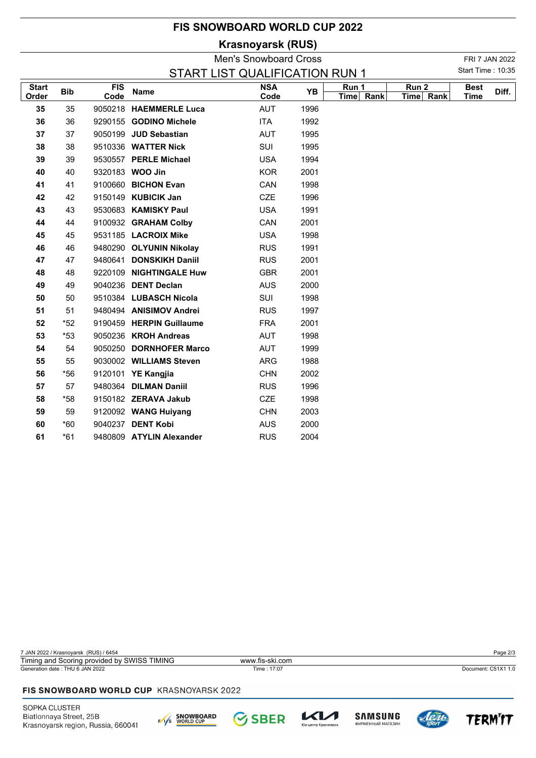## **FIS SNOWBOARD WORLD CUP 2022**

# **Krasnoyarsk (RUS)**

|              |            |      |                          | <b>Men's Snowboard Cross</b>   |      |           |           |                   | FRI 7 JAN 2022 |
|--------------|------------|------|--------------------------|--------------------------------|------|-----------|-----------|-------------------|----------------|
|              |            |      |                          | START LIST QUALIFICATION RUN 1 |      |           |           | Start Time: 10:35 |                |
| <b>Start</b> | <b>Bib</b> | FIS  | <b>Name</b>              | <b>NSA</b>                     | YB   | Run 1     | Run 2     | <b>Best</b>       | Diff.          |
| Order        |            | Code |                          | Code                           |      | Time Rank | Time Rank | <b>Time</b>       |                |
| 35           | 35         |      | 9050218 HAEMMERLE Luca   | AUT                            | 1996 |           |           |                   |                |
| 36           | 36         |      | 9290155 GODINO Michele   | ITA                            | 1992 |           |           |                   |                |
| 37           | 37         |      | 9050199 JUD Sebastian    | AUT                            | 1995 |           |           |                   |                |
| 38           | 38         |      | 9510336 WATTER Nick      | <b>SUI</b>                     | 1995 |           |           |                   |                |
| 39           | 39         |      | 9530557 PERLE Michael    | <b>USA</b>                     | 1994 |           |           |                   |                |
| 40           | 40         |      | 9320183 WOO Jin          | <b>KOR</b>                     | 2001 |           |           |                   |                |
| 41           | 41         |      | 9100660 BICHON Evan      | CAN                            | 1998 |           |           |                   |                |
| 42           | 42         |      | 9150149 KUBICIK Jan      | <b>CZE</b>                     | 1996 |           |           |                   |                |
| 43           | 43         |      | 9530683 KAMISKY Paul     | <b>USA</b>                     | 1991 |           |           |                   |                |
| 44           | 44         |      | 9100932 GRAHAM Colby     | CAN                            | 2001 |           |           |                   |                |
| 45           | 45         |      | 9531185 LACROIX Mike     | <b>USA</b>                     | 1998 |           |           |                   |                |
| 46           | 46         |      | 9480290 OLYUNIN Nikolay  | <b>RUS</b>                     | 1991 |           |           |                   |                |
| 47           | 47         |      | 9480641 DONSKIKH Daniil  | <b>RUS</b>                     | 2001 |           |           |                   |                |
| 48           | 48         |      | 9220109 NIGHTINGALE Huw  | <b>GBR</b>                     | 2001 |           |           |                   |                |
| 49           | 49         |      | 9040236 DENT Declan      | <b>AUS</b>                     | 2000 |           |           |                   |                |
| 50           | 50         |      | 9510384 LUBASCH Nicola   | SUI                            | 1998 |           |           |                   |                |
| 51           | 51         |      | 9480494 ANISIMOV Andrei  | <b>RUS</b>                     | 1997 |           |           |                   |                |
| 52           | $*52$      |      | 9190459 HERPIN Guillaume | <b>FRA</b>                     | 2001 |           |           |                   |                |
| 53           | $*53$      |      | 9050236 KROH Andreas     | AUT                            | 1998 |           |           |                   |                |
| 54           | 54         |      | 9050250 DORNHOFER Marco  | AUT                            | 1999 |           |           |                   |                |
| 55           | 55         |      | 9030002 WILLIAMS Steven  | ARG                            | 1988 |           |           |                   |                |
| 56           | *56        |      | 9120101 YE Kangjia       | <b>CHN</b>                     | 2002 |           |           |                   |                |
| 57           | 57         |      | 9480364 DILMAN Daniil    | <b>RUS</b>                     | 1996 |           |           |                   |                |
| 58           | *58        |      | 9150182 ZERAVA Jakub     | <b>CZE</b>                     | 1998 |           |           |                   |                |
| 59           | 59         |      | 9120092 WANG Huiyang     | <b>CHN</b>                     | 2003 |           |           |                   |                |
| 60           | $*60$      |      | 9040237 DENT Kobi        | <b>AUS</b>                     | 2000 |           |           |                   |                |
| 61           | $*61$      |      | 9480809 ATYLIN Alexander | <b>RUS</b>                     | 2004 |           |           |                   |                |

7 JAN 2022 / Krasnoyarsk (RUS) / 6454 Page 2/3 Generation date : THU 6 JAN 2022 Time : 17:07 Document: C51X1 1.0 Timing and Scoring provided by SWISS TIMING www.fis-ski.com

### FIS SNOWBOARD WORLD CUP KRASNOYARSK 2022